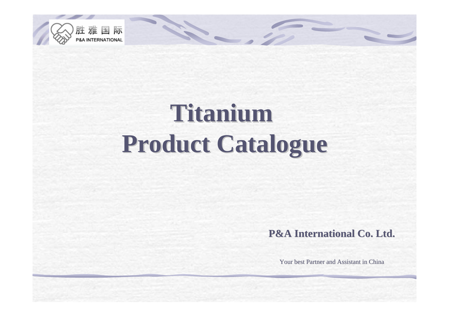

## **Titanium Titanium Product Catalogue Product Catalogue**

14.

**P&A International Co. Ltd. P&A International Co. Ltd.**

Your best Partner and Assistant in China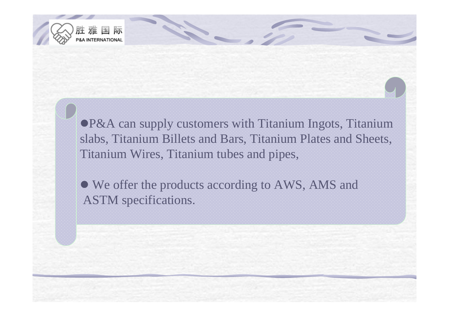

●P&A can supply customers with Titanium Ingots, Titanium slabs, Titanium Billets and Bars, Titanium Plates and Sheets, Titanium Wires, Titanium tubes and pipes,

• We offer the products according to AWS, AMS and ASTM specifications.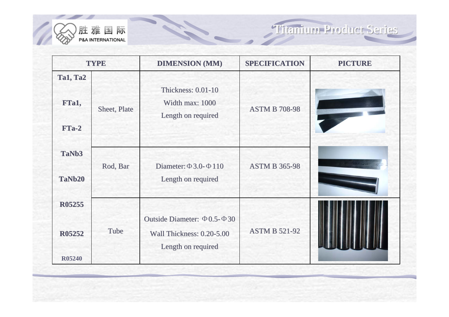

| <b>TYPE</b>                                     |              | <b>DIMENSION (MM)</b>                                                                      | <b>SPECIFICATION</b> | <b>PICTURE</b> |
|-------------------------------------------------|--------------|--------------------------------------------------------------------------------------------|----------------------|----------------|
| <b>Ta1, Ta2</b><br>FTa1,<br>$FTa-2$             | Sheet, Plate | <b>Thickness: 0.01-10</b><br>Width max: 1000<br>Length on required                         | <b>ASTM B 708-98</b> |                |
| TaNb <sub>3</sub><br>TaNb20                     | Rod, Bar     | Diameter: $\Phi$ 3.0- $\Phi$ 110<br>Length on required                                     | <b>ASTM B 365-98</b> |                |
| <b>R05255</b><br><b>R05252</b><br><b>R05240</b> | Tube         | Outside Diameter: $\Phi$ 0.5- $\Phi$ 30<br>Wall Thickness: 0.20-5.00<br>Length on required | <b>ASTM B 521-92</b> |                |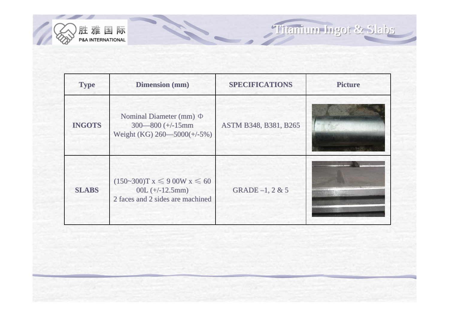

**Type Dimension (mm) SPECIFICATIONS Picture INGOTS** Nominal Diameter (mm) Φ 300—800 (+/-15mm Weight (KG)  $260 - 5000$ (+/-5%) ASTM B348, B381, B265 **SLABS**  $(150-300)$ T x  $\leq 900$ W x  $\leq 60$ 00L  $(+/-12.5mm)$ 2 faces and 2 sides are machined GRADE -1, 2 & 5

14

Titanium Ingot & Slabs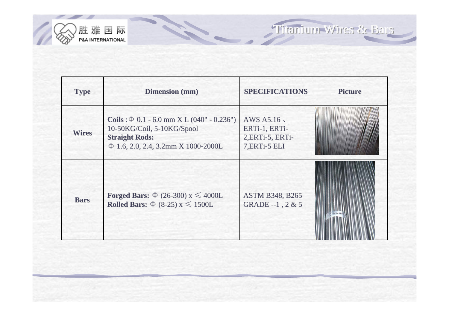

Titanium Wires & Bars Titanium Wires & Bars Titanium Wires & Bars

| <b>Type</b>  | <b>Dimension</b> (mm)                                                                                                                              | <b>SPECIFICATIONS</b>                                            | <b>Picture</b> |
|--------------|----------------------------------------------------------------------------------------------------------------------------------------------------|------------------------------------------------------------------|----------------|
| <b>Wires</b> | Coils : $\Phi$ 0.1 - 6.0 mm X L (040" - 0.236")<br>10-50KG/Coil, 5-10KG/Spool<br><b>Straight Rods:</b><br>$\Phi$ 1.6, 2.0, 2.4, 3.2mm X 1000-2000L | AWS A5.16,<br>ERTi-1, ERTi-<br>2, ERTi-5, ERTi-<br>7, ERTi-5 ELI |                |
| <b>Bars</b>  | <b>Forged Bars:</b> $\Phi$ (26-300) x $\leq 4000L$<br>Rolled Bars: $\Phi$ (8-25) x $\leq$ 1500L                                                    | <b>ASTM B348, B265</b><br>GRADE --1, $2 & 5$                     |                |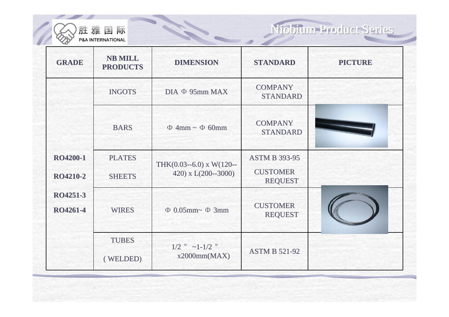

Niobium Product Series

| <b>GRADE</b>                       | <b>NB MILL</b><br><b>PRODUCTS</b> | <b>DIMENSION</b>                                          | <b>STANDARD</b>                                           | <b>PICTURE</b> |
|------------------------------------|-----------------------------------|-----------------------------------------------------------|-----------------------------------------------------------|----------------|
|                                    | <b>INGOTS</b>                     | $DIA \Phi 95mm MAX$                                       | <b>COMPANY</b><br><b>STANDARD</b>                         |                |
|                                    | <b>BARS</b>                       | $\Phi$ 4mm ~ $\Phi$ 60mm                                  | <b>COMPANY</b><br><b>STANDARD</b>                         |                |
| <b>RO4200-1</b><br><b>RO4210-2</b> | <b>PLATES</b><br><b>SHEETS</b>    | THK $(0.03 - 6.0)$ x W $(120 -$<br>420) x $L(200 - 3000)$ | <b>ASTM B 393-95</b><br><b>CUSTOMER</b><br><b>REQUEST</b> |                |
| RO4251-3<br>RO4261-4               | <b>WIRES</b>                      | $\Phi$ 0.05mm~ $\Phi$ 3mm                                 | <b>CUSTOMER</b><br><b>REQUEST</b>                         |                |
|                                    | <b>TUBES</b><br>(WELDED)          | $1/2$ " $\sim$ 1-1/2 "<br>x2000mm(MAX)                    | <b>ASTM B 521-92</b>                                      |                |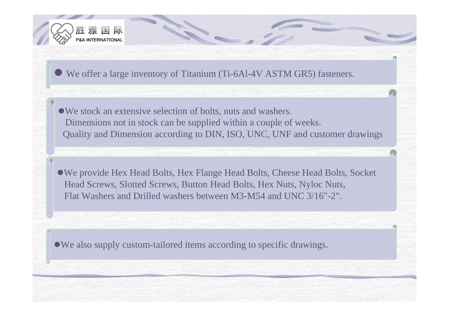

z We offer a large inventory of Titanium (Ti-6Al-4V ASTM GR5) fasteners.

• We stock an extensive selection of bolts, nuts and washers. Dimensions not in stock can be supplied within a couple of weeks. Quality and Dimension according to DIN, ISO, UNC, UNF and customer drawings

• We provide Hex Head Bolts, Hex Flange Head Bolts, Cheese Head Bolts, Socket Head Screws, Slotted Screws, Button Head Bolts, Hex Nuts, Nyloc Nuts, Flat Washers and Drilled washers between M3-M54 and UNC 3/16"-2".

 $\bullet$  We also supply custom-tailored items according to specific drawings.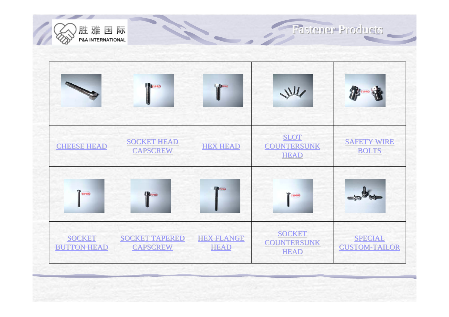

Fastener Products Fastener Products Fastener Products

|                                     | <b>THE PRO</b>                           | TIPRO                            | JUL                                                | TA TIPRO                               |
|-------------------------------------|------------------------------------------|----------------------------------|----------------------------------------------------|----------------------------------------|
| <b>CHEESE HEAD</b>                  | <b>SOCKET HEAD</b><br><b>CAPSCREW</b>    | <b>HEX HEAD</b>                  | <b>SLOT</b><br><b>COUNTERSUNK</b><br><b>HEAD</b>   | <b>SAFETY WIRE</b><br><b>BOLTS</b>     |
| TIPRO                               | TIPRO                                    | <b>Can TIPRO</b>                 | TIPRO                                              | $\Rightarrow 2$                        |
| <b>SOCKET</b><br><b>BUTTON HEAD</b> | <b>SOCKET TAPERED</b><br><b>CAPSCREW</b> | <b>HEX FLANGE</b><br><b>HEAD</b> | <b>SOCKET</b><br><b>COUNTERSUNK</b><br><b>HEAD</b> | <b>SPECIAL</b><br><b>CUSTOM-TAILOR</b> |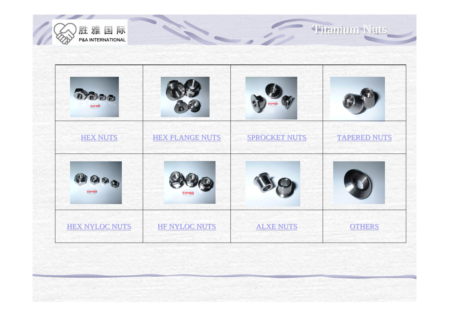



Titanium Nuts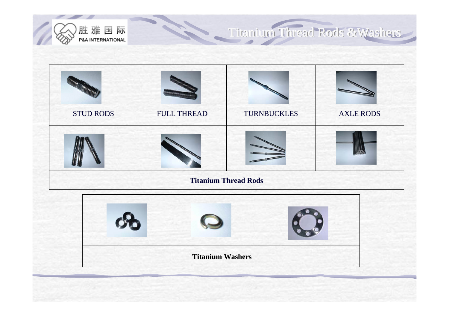

## Titanium Thread Rods & Washers

| <b>STUD RODS</b> | <b>FULL THREAD</b> | <b>TURNBUCKLES</b>          | <b>AXLE RODS</b> |
|------------------|--------------------|-----------------------------|------------------|
|                  |                    |                             |                  |
|                  |                    | <b>Titanium Thread Rods</b> |                  |
|                  |                    |                             |                  |

| <b>Titanium Washers</b> |  |
|-------------------------|--|